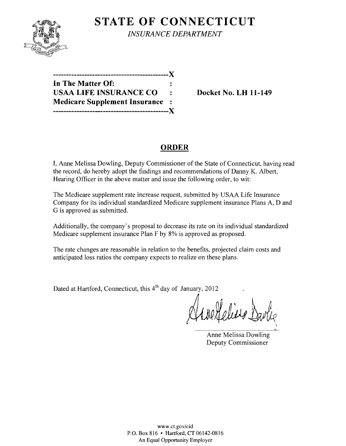

**STATE OF CONNECTICUT** *INSURANCE DEPARTMENT* 

| X                                     |  |
|---------------------------------------|--|
| In The Matter Of:                     |  |
| <b>USAA LIFE INSURANCE CO</b>         |  |
| <b>Medicare Supplement Insurance:</b> |  |
|                                       |  |

**Docket No. LH 11-149** 

# **ORDER**

I, Anne Melissa Dowling, Deputy Commissioner of the State of Connecticut, having read the record, do hereby adopt the findings and recommendations of Danny K. Albert, Hearing Officer in the above matter and issue the following order, to wit:

The Medicare supplement rate increase request, submitted by USAA Life Insurance Company for its individual standardized Medicare supplement insurance Plans A, D and G is approved as submitted.

Additionally, the company's proposal to decrease its rate on its individual standardized Medicare supplement insurance Plan F by 8% is approved as proposed.

The rate changes are reasonable in relation to the benefits, projected claim costs and anticipated loss ratios the company expects to realize on these plans.

Dated at Hartford, Connecticut, this 4<sup>th</sup> day of January, 2012

nellesse l \

Anne Melissa Dowling Deputy Commissioner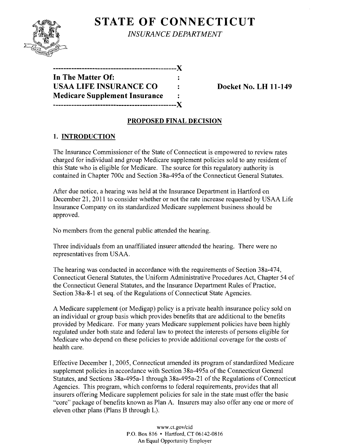

**STATE OF CONNECTICUT** *INSURANCE DEPARTMENT* 

**-----------------------------------------------)( In The Matter Of:**  USAA LIFE INSURANCE CO : Docket No. LH 11-149 **Medicare Supplement Insurance -----------------------------------------------)(** 

## **PROPOSED FINAL DECISION**

## **1. INTRODUCTION**

The Insurance Commissioner of the State of Connecticut is empowered to review rates charged for individual and group Medicare supplement policies sold to any resident of this State who is eligible for Medicare. The source for this regulatory authority is contained in Chapter 700c and Section 38a-495a of the Connecticut General Statutes.

After due notice, a hearing was held at the Insurance Department in Hartford on December 21, 2011 to consider whether or not the rate increase requested by USAA Life Insurance Company on its standardized Medicare supplement business should be approved.

No members from the general public attended the hearing.

Three individuals from an unaffiliated insurer attended the hearing. There were no representatives from USAA.

The hearing was conducted in accordance with the requirements of Section 38a-474, Connecticut General Statutes, the Uniform Administrative Procedures Act, Chapter 54 of the Connecticut General Statutes, and the Insurance Department Rules of Practice, Section 38a-8-1 et seq. of the Regulations of Connecticut State Agencies.

A Medicare supplement (or Medigap) policy is a private health insurance policy sold on an individual or group basis which provides benefits that are additional to the benefits provided by Medicare. For many years Medicare supplement policies have been highly regulated under both state and federal law to protect the interests of persons eligible for Medicare who depend on these policies to provide additional coverage for the costs of health care.

Effective December 1, 2005, Connecticut amended its program of standardized Medicare supplement policies in accordance with Section 38a-495a of the Connecticut General Statutes, and Sections 38a-495a-l through 38a-495a-21 of the Regulations of Connecticut Agencies. This program, which conforms to federal requirements, provides that all insurers offering Medicare supplement policies for sale in the state must offer the basic "core" package of benefits known as Plan A. Insurers may also offer anyone or more of eleven other plans (Plans B through L).

> www.cLgov/cid P.O. Box 816 • Hartford, CT 06142-0816 An Equal Opportunity Employer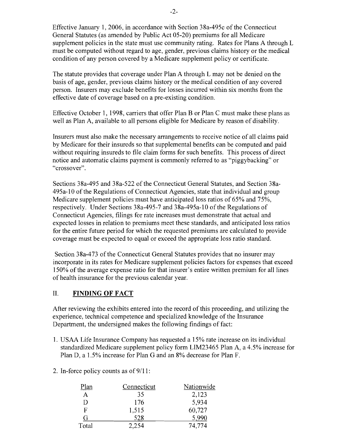Effective January 1,2006, in accordance with Section 38a-495c of the Connecticut General Statutes (as amended by Public Act 05-20) premiums for all Medicare supplement policies in the state must use community rating. Rates for Plans A through L must be computed without regard to age, gender, previous claims history or the medical condition of any person covered by a Medicare supplement policy or certificate.

The statute provides that coverage under Plan A through L may not be denied on the basis of age, gender, previous claims history or the medical condition of any covered person. Insurers may exclude benefits for losses incurred within six months from the effective date of coverage based on a pre-existing condition.

Effective October 1, 1998, carriers that offer Plan B or Plan C must make these plans as well as Plan A, available to all persons eligible for Medicare by reason of disability.

Insurers must also make the necessary arrangements to receive notice of all claims paid by Medicare for their insureds so that supplemental benefits can be computed and paid without requiring insureds to file claim forms for such benefits. This process of direct notice and automatic claims payment is commonly referred to as "piggybacking" or "crossover".

Sections 38a-495 and 38a-522 of the Connecticut General Statutes, and Section 38a-495a-lO of the Regulations of Connecticut Agencies, state that individual and group Medicare supplement policies must have anticipated loss ratios of 65% and 75%, respectively. Under Sections 38a-495-7 and 38a-495a-10 of the Regulations of Connecticut Agencies, filings for rate increases must demonstrate that actual and expected losses in relation to premiums meet these standards, and anticipated loss ratios for the entire future period for which the requested premiums are calculated to provide coverage must be expected to equal or exceed the appropriate loss ratio standard.

Section 38a-473 of the Connecticut General Statutes provides that no insurer may incorporate in its rates for Medicare supplement policies factors for expenses that exceed 150% of the average expense ratio for that insurer's entire written premium for all lines of health insurance for the previous calendar year.

## II. **FINDING OF FACT**

After reviewing the exhibits entered into the record of this proceeding, and utilizing the experience, technical competence and specialized knowledge of the Insurance Department, the undersigned makes the following findings of fact:

- 1. USAA Life Insurance Company has requested a 15% rate increase on its individual standardized Medicare supplement policy form LIM23465 Plan A, a 4.5% increase for Plan D, a 1.5% increase for Plan G and an 8% decrease for Plan F.
- 2. In-force policy counts as of  $9/11$ :

| Plan  | Connecticut | Nationwide |
|-------|-------------|------------|
| А     | 35          | 2,123      |
| D     | 176         | 5,934      |
| F     | 1,515       | 60,727     |
| G     | 528         | 5,990      |
| Total | 2.254       | 74.774     |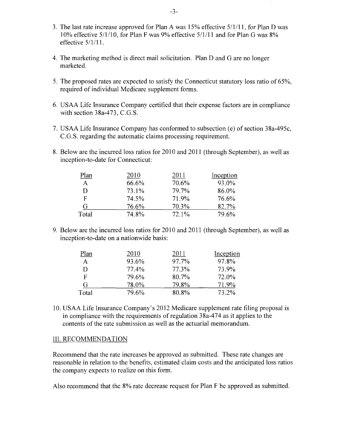- 3. The last rate increase approved for Plan A was  $15%$  effective  $5/1/11$ , for Plan D was 10% effective 5/1/10, for Plan F was 9% effective 5/1/11 and for Plan G was 8% effective 5/1/11.
- 4. The marketing method is direct mail solicitation. Plan D and G are no longer marketed.
- 5. The proposed rates are expected to satisfy the Connecticut statutory loss ratio of 65%, required of individual Medicare supplement forms.
- 6. USAA Life Insurance Company certified that their expense factors are in compliance with section 38a-473, C.G.S.
- 7. USAA Life Insurance Company has conformed to subsection (e) of section 38a-495c, C.G.S. regarding the automatic claims processing requirement.
- 8. Below are the incurred loss ratios for 2010 and 2011 (through September), as well as inception-to-date for Connecticut:

| Plan         | 2010  | 2011     | Inception |
|--------------|-------|----------|-----------|
| $\mathsf{A}$ | 66.6% | 70.6%    | 93.0%     |
| D            | 73.1% | 79.7%    | 86.0%     |
| F            | 74.5% | 71.9%    | 76.6%     |
| G            | 76.6% | 70.3%    | 82.7%     |
| Total        | 74.8% | $72.1\%$ | 79.6%     |

9. Below are the incurred loss ratios for 2010 and 2011 (through September), as well as inception-to-date on a nationwide basis:

| Plan  | 2010  | 2011  | Inception |
|-------|-------|-------|-----------|
| A     | 93.6% | 97.7% | 97.8%     |
| D     | 77.4% | 77.3% | 73.9%     |
| F     | 79.6% | 80.7% | 72.0%     |
| G     | 78.0% | 79.8% | 71.9%     |
| Total | 79.6% | 80.8% | 73.2%     |

10. USAA Life Insurance Company's 2012 Medicare supplement rate filing proposal is in compliance with the requirements of regulation 38a-474 as it applies to the contents of the rate submission as well as the actuarial memorandum.

#### III. RECOMMENDATION

Recommend that the rate increases be approved as submitted. These rate changes are reasonable in relation to the benefits, estimated claim costs and the anticipated loss ratios the company expects to realize on this form.

Also recommend that the 8% rate decrease request for Plan F be approved as submitted.